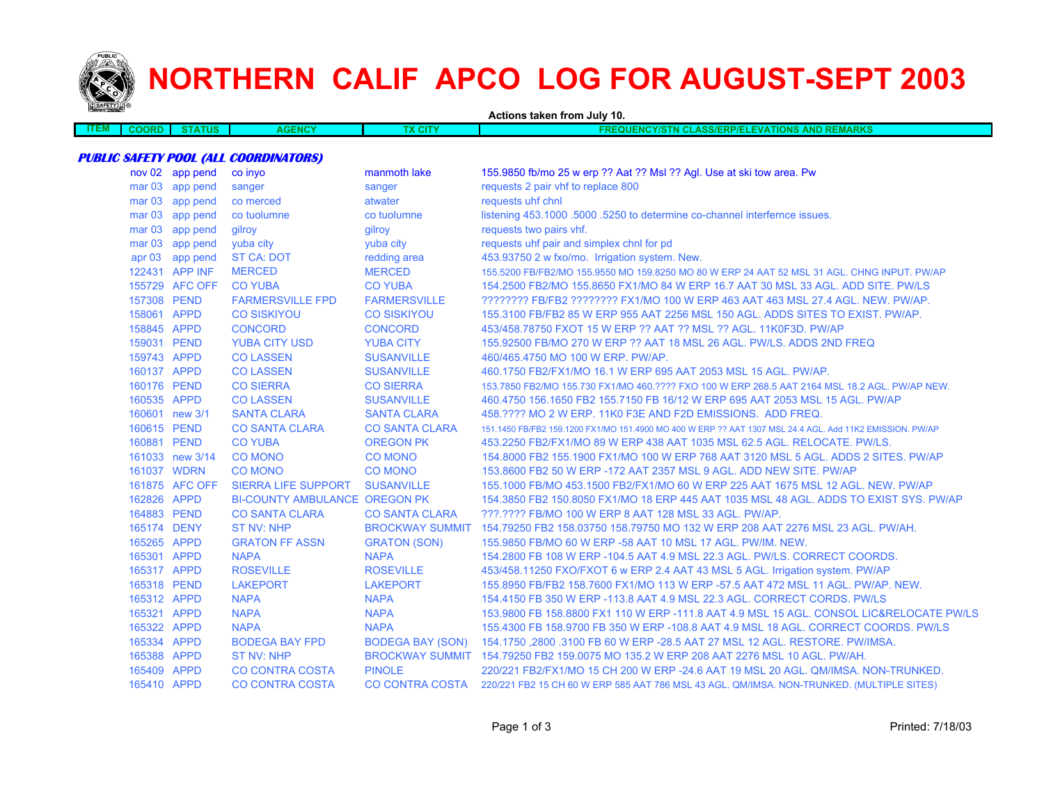

# **NORTHERN CALIF APCO LOG FOR AUGUST-SEPT 2003**

| <b><i>PARKET THERE</i></b> |                   |                 |                                              | Actions taken from July 10. |                                                                                                          |  |  |
|----------------------------|-------------------|-----------------|----------------------------------------------|-----------------------------|----------------------------------------------------------------------------------------------------------|--|--|
| <b>ITEM</b>                | <b>COORD</b>      | <b>STATUS</b>   | <b>AGENCY</b>                                | <b>TX CITY</b>              | <b>FREQUENCY/STN CLASS/ERP/ELEVATIONS AND REMARKS</b>                                                    |  |  |
|                            |                   |                 |                                              |                             |                                                                                                          |  |  |
|                            |                   |                 | <b>PUBLIC SAFETY POOL (ALL COORDINATORS)</b> |                             |                                                                                                          |  |  |
|                            |                   | nov 02 app pend | co invo                                      | manmoth lake                | 155.9850 fb/mo 25 w erp ?? Aat ?? Msl ?? Agl. Use at ski tow area. Pw                                    |  |  |
|                            |                   | mar 03 app pend | sanger                                       | sanger                      | requests 2 pair vhf to replace 800                                                                       |  |  |
|                            | mar <sub>03</sub> | app pend        | co merced                                    | atwater                     | requests uhf chnl                                                                                        |  |  |
|                            |                   | mar 03 app pend | co tuolumne                                  | co tuolumne                 | listening 453.1000 .5000 .5250 to determine co-channel interfernce issues.                               |  |  |
|                            |                   | mar 03 app pend | gilroy                                       | gilroy                      | requests two pairs vhf.                                                                                  |  |  |
|                            | mar <sub>03</sub> | app pend        | yuba city                                    | yuba city                   | requests uhf pair and simplex chnl for pd                                                                |  |  |
|                            |                   | apr 03 app pend | <b>ST CA: DOT</b>                            | redding area                | 453.93750 2 w fxo/mo. Irrigation system. New.                                                            |  |  |
|                            |                   | 122431 APP INF  | <b>MERCED</b>                                | <b>MERCED</b>               | 155.5200 FB/FB2/MO 155.9550 MO 159.8250 MO 80 W ERP 24 AAT 52 MSL 31 AGL. CHNG INPUT. PW/AP              |  |  |
|                            |                   | 155729 AFC OFF  | <b>CO YUBA</b>                               | <b>CO YUBA</b>              | 154.2500 FB2/MO 155.8650 FX1/MO 84 W ERP 16.7 AAT 30 MSL 33 AGL, ADD SITE, PW/LS                         |  |  |
|                            | 157308 PEND       |                 | <b>FARMERSVILLE FPD</b>                      | <b>FARMERSVILLE</b>         | ???????? FB/FB2 ???????? FX1/MO 100 W ERP 463 AAT 463 MSL 27.4 AGL. NEW. PW/AP.                          |  |  |
|                            | 158061 APPD       |                 | <b>CO SISKIYOU</b>                           | <b>CO SISKIYOU</b>          | 155.3100 FB/FB2 85 W ERP 955 AAT 2256 MSL 150 AGL. ADDS SITES TO EXIST. PW/AP.                           |  |  |
|                            | 158845 APPD       |                 | <b>CONCORD</b>                               | <b>CONCORD</b>              | 453/458.78750 FXOT 15 W ERP ?? AAT ?? MSL ?? AGL. 11K0F3D. PW/AP                                         |  |  |
|                            | 159031 PEND       |                 | <b>YUBA CITY USD</b>                         | <b>YUBA CITY</b>            | 155,92500 FB/MO 270 W ERP ?? AAT 18 MSL 26 AGL, PW/LS, ADDS 2ND FREQ                                     |  |  |
|                            | 159743 APPD       |                 | <b>CO LASSEN</b>                             | <b>SUSANVILLE</b>           | 460/465.4750 MO 100 W ERP. PW/AP.                                                                        |  |  |
|                            | 160137 APPD       |                 | <b>CO LASSEN</b>                             | <b>SUSANVILLE</b>           | 460.1750 FB2/FX1/MO 16.1 W ERP 695 AAT 2053 MSL 15 AGL. PW/AP.                                           |  |  |
|                            | 160176 PEND       |                 | <b>CO SIERRA</b>                             | <b>CO SIERRA</b>            | 153.7850 FB2/MO 155.730 FX1/MO 460.???? FXO 100 W ERP 268.5 AAT 2164 MSL 18.2 AGL. PW/AP NEW.            |  |  |
|                            | 160535 APPD       |                 | <b>CO LASSEN</b>                             | <b>SUSANVILLE</b>           | 460.4750 156.1650 FB2 155.7150 FB 16/12 W ERP 695 AAT 2053 MSL 15 AGL. PW/AP                             |  |  |
|                            |                   | 160601 new 3/1  | <b>SANTA CLARA</b>                           | <b>SANTA CLARA</b>          | 458.???? MO 2 W ERP, 11K0 F3E AND F2D EMISSIONS. ADD FREQ.                                               |  |  |
|                            | 160615 PEND       |                 | <b>CO SANTA CLARA</b>                        | <b>CO SANTA CLARA</b>       | 151.1450 FB/FB2 159.1200 FX1/MO 151.4900 MO 400 W ERP ?? AAT 1307 MSL 24.4 AGL. Add 11K2 EMISSION. PW/AP |  |  |
|                            | 160881 PEND       |                 | <b>CO YUBA</b>                               | <b>OREGON PK</b>            | 453.2250 FB2/FX1/MO 89 W ERP 438 AAT 1035 MSL 62.5 AGL. RELOCATE. PW/LS.                                 |  |  |
|                            |                   | 161033 new 3/14 | <b>CO MONO</b>                               | <b>CO MONO</b>              | 154.8000 FB2 155.1900 FX1/MO 100 W ERP 768 AAT 3120 MSL 5 AGL. ADDS 2 SITES, PW/AP                       |  |  |
|                            | 161037 WDRN       |                 | <b>CO MONO</b>                               | <b>CO MONO</b>              | 153.8600 FB2 50 W ERP -172 AAT 2357 MSL 9 AGL. ADD NEW SITE. PW/AP                                       |  |  |
|                            |                   | 161875 AFC OFF  | SIERRA LIFE SUPPORT                          | <b>SUSANVILLE</b>           | 155.1000 FB/MO 453.1500 FB2/FX1/MO 60 W ERP 225 AAT 1675 MSL 12 AGL. NEW. PW/AP                          |  |  |
|                            | 162826 APPD       |                 | <b>BI-COUNTY AMBULANCE OREGON PK</b>         |                             | 154.3850 FB2 150.8050 FX1/MO 18 ERP 445 AAT 1035 MSL 48 AGL. ADDS TO EXIST SYS. PW/AP                    |  |  |
|                            | 164883 PEND       |                 | <b>CO SANTA CLARA</b>                        | <b>CO SANTA CLARA</b>       | ???.???? FB/MO 100 W ERP 8 AAT 128 MSL 33 AGL. PW/AP.                                                    |  |  |
|                            | 165174 DENY       |                 | <b>ST NV: NHP</b>                            |                             | BROCKWAY SUMMIT 154.79250 FB2 158.03750 158.79750 MO 132 W ERP 208 AAT 2276 MSL 23 AGL. PW/AH.           |  |  |
|                            | 165265 APPD       |                 | <b>GRATON FF ASSN</b>                        | <b>GRATON (SON)</b>         | 155.9850 FB/MO 60 W ERP -58 AAT 10 MSL 17 AGL. PW/IM. NEW.                                               |  |  |
|                            | 165301 APPD       |                 | <b>NAPA</b>                                  | <b>NAPA</b>                 | 154.2800 FB 108 W ERP -104.5 AAT 4.9 MSL 22.3 AGL. PW/LS. CORRECT COORDS.                                |  |  |
|                            | 165317 APPD       |                 | <b>ROSEVILLE</b>                             | <b>ROSEVILLE</b>            | 453/458.11250 FXO/FXOT 6 w ERP 2.4 AAT 43 MSL 5 AGL. Irrigation system. PW/AP                            |  |  |
|                            | 165318 PEND       |                 | <b>LAKEPORT</b>                              | <b>LAKEPORT</b>             | 155.8950 FB/FB2 158.7600 FX1/MO 113 W ERP -57.5 AAT 472 MSL 11 AGL, PW/AP, NEW,                          |  |  |
|                            | 165312 APPD       |                 | <b>NAPA</b>                                  | <b>NAPA</b>                 | 154.4150 FB 350 W ERP -113.8 AAT 4.9 MSL 22.3 AGL. CORRECT CORDS. PW/LS                                  |  |  |
|                            | 165321 APPD       |                 | <b>NAPA</b>                                  | <b>NAPA</b>                 | 153.9800 FB 158.8800 FX1 110 W ERP -111.8 AAT 4.9 MSL 15 AGL. CONSOL LIC&RELOCATE PW/LS                  |  |  |
|                            | 165322 APPD       |                 | <b>NAPA</b>                                  | <b>NAPA</b>                 | 155.4300 FB 158.9700 FB 350 W ERP -108.8 AAT 4.9 MSL 18 AGL. CORRECT COORDS. PW/LS                       |  |  |
|                            | 165334 APPD       |                 | <b>BODEGA BAY FPD</b>                        | <b>BODEGA BAY (SON)</b>     | 154.1750,2800 .3100 FB 60 W ERP -28.5 AAT 27 MSL 12 AGL. RESTORE. PW/IMSA.                               |  |  |
|                            | 165388 APPD       |                 | ST NV: NHP                                   |                             | BROCKWAY SUMMIT 154.79250 FB2 159.0075 MO 135.2 W ERP 208 AAT 2276 MSL 10 AGL, PW/AH.                    |  |  |
|                            | 165409 APPD       |                 | <b>CO CONTRA COSTA</b>                       | <b>PINOLE</b>               | 220/221 FB2/FX1/MO 15 CH 200 W ERP -24.6 AAT 19 MSL 20 AGL. QM/IMSA. NON-TRUNKED.                        |  |  |
|                            | 165410 APPD       |                 | <b>CO CONTRA COSTA</b>                       | CO CONTRA COSTA             | 220/221 FB2 15 CH 60 W ERP 585 AAT 786 MSL 43 AGL. QM/IMSA. NON-TRUNKED. (MULTIPLE SITES)                |  |  |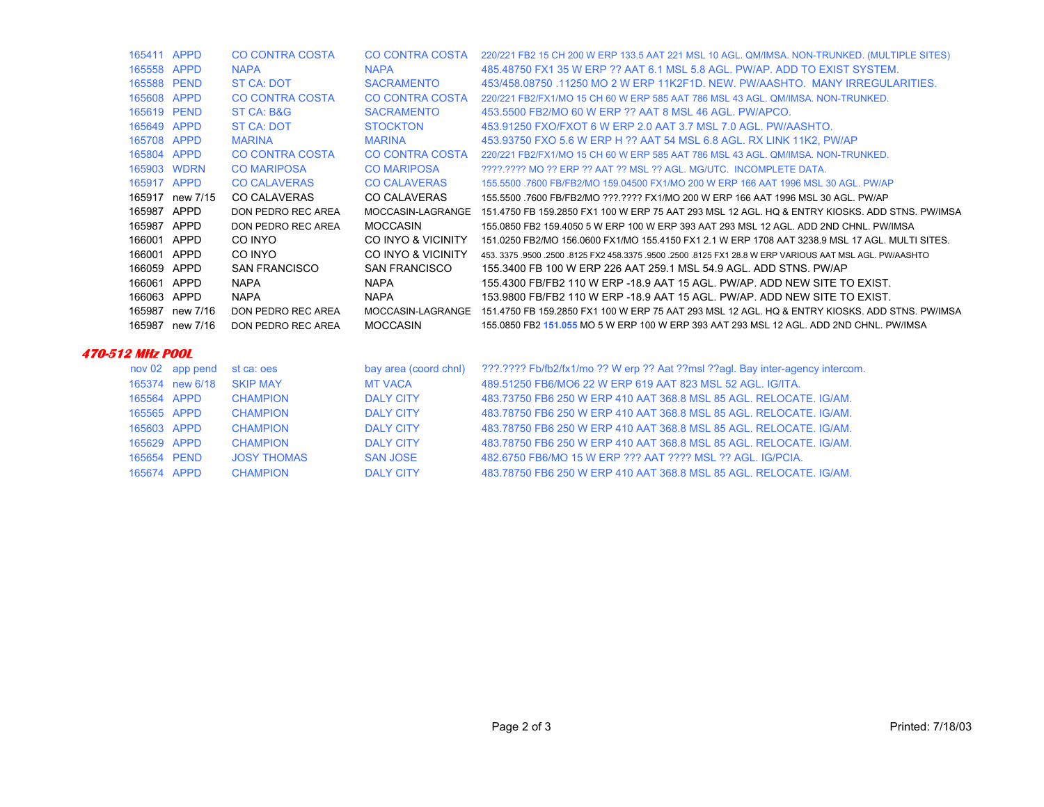| 165411 APPD |                 | CO CONTRA COSTA      | CO CONTRA COSTA      | 220/221 FB2 15 CH 200 W ERP 133.5 AAT 221 MSL 10 AGL. QM/IMSA. NON-TRUNKED. (MULTIPLE SITES)              |
|-------------|-----------------|----------------------|----------------------|-----------------------------------------------------------------------------------------------------------|
| 165558 APPD |                 | <b>NAPA</b>          | <b>NAPA</b>          | 485.48750 FX1 35 W ERP ?? AAT 6.1 MSL 5.8 AGL, PW/AP, ADD TO EXIST SYSTEM.                                |
| 165588 PEND |                 | ST CA: DOT           | <b>SACRAMENTO</b>    | 453/458,08750,11250 MO 2 W ERP 11K2F1D, NEW, PW/AASHTO, MANY IRREGULARITIES.                              |
| 165608 APPD |                 | CO CONTRA COSTA      | CO CONTRA COSTA      | 220/221 FB2/FX1/MO 15 CH 60 W ERP 585 AAT 786 MSL 43 AGL, QM/IMSA, NON-TRUNKED.                           |
| 165619 PEND |                 | ST CA: B&G           | <b>SACRAMENTO</b>    | 453,5500 FB2/MO 60 W ERP ?? AAT 8 MSL 46 AGL, PW/APCO.                                                    |
| 165649 APPD |                 | ST CA: DOT           | <b>STOCKTON</b>      | 453.91250 FXO/FXOT 6 W ERP 2.0 AAT 3.7 MSL 7.0 AGL, PW/AASHTO.                                            |
| 165708 APPD |                 | <b>MARINA</b>        | <b>MARINA</b>        | 453.93750 FXO 5.6 W ERP H ?? AAT 54 MSL 6.8 AGL. RX LINK 11K2, PW/AP                                      |
| 165804 APPD |                 | CO CONTRA COSTA      | CO CONTRA COSTA      | 220/221 FB2/FX1/MO 15 CH 60 W ERP 585 AAT 786 MSL 43 AGL, OM/IMSA, NON-TRUNKED.                           |
|             | 165903 WDRN     | <b>CO MARIPOSA</b>   | <b>CO MARIPOSA</b>   | 2222.2222 MO 22 ERP 22 AAT 22 MSL 22 AGL. MG/UTC. INCOMPLETE DATA.                                        |
| 165917 APPD |                 | <b>CO CALAVERAS</b>  | <b>CO CALAVERAS</b>  | 155,5500 .7600 FB/FB2/MO 159,04500 FX1/MO 200 W ERP 166 AAT 1996 MSL 30 AGL. PW/AP                        |
|             | 165917 new 7/15 | <b>CO CALAVERAS</b>  | <b>CO CALAVERAS</b>  | 155,5500,7600 FB/FB2/MO ???.???? FX1/MO 200 W ERP 166 AAT 1996 MSL 30 AGL, PW/AP                          |
| 165987 APPD |                 | DON PEDRO REC AREA   | MOCCASIN-LAGRANGE    | 151.4750 FB 159.2850 FX1 100 W ERP 75 AAT 293 MSL 12 AGL. HO & ENTRY KIOSKS, ADD STNS, PW/IMSA            |
| 165987 APPD |                 | DON PEDRO REC AREA   | <b>MOCCASIN</b>      | 155,0850 FB2 159,4050 5 W ERP 100 W ERP 393 AAT 293 MSL 12 AGL, ADD 2ND CHNL, PW/IMSA                     |
| 166001 APPD |                 | CO INYO              | CO INYO & VICINITY   | 151.0250 FB2/MO 156.0600 FX1/MO 155.4150 FX1 2.1 W ERP 1708 AAT 3238.9 MSL 17 AGL. MULTI SITES.           |
| 166001 APPD |                 | CO INYO              | CO INYO & VICINITY   | 453, 3375, 9500, 2500, 8125 FX2 458, 3375, 9500, 2500, 8125 FX1 28.8 W ERP VARIOUS AAT MSL AGL, PW/AASHTO |
| 166059      | APPD            | <b>SAN FRANCISCO</b> | <b>SAN FRANCISCO</b> | 155,3400 FB 100 W ERP 226 AAT 259.1 MSL 54.9 AGL, ADD STNS, PW/AP                                         |
| 166061      | APPD            | <b>NAPA</b>          | <b>NAPA</b>          | 155,4300 FB/FB2 110 W ERP -18.9 AAT 15 AGL, PW/AP, ADD NEW SITE TO EXIST.                                 |
| 166063      | APPD            | <b>NAPA</b>          | <b>NAPA</b>          | 153,9800 FB/FB2 110 W ERP -18.9 AAT 15 AGL, PW/AP, ADD NEW SITE TO EXIST.                                 |
| 165987      |                 | DON PEDRO REC AREA   | MOCCASIN-LAGRANGE    | 151.4750 FB 159.2850 FX1 100 W ERP 75 AAT 293 MSL 12 AGL. HO & ENTRY KIOSKS, ADD STNS, PW/IMSA            |
|             | new 7/16        |                      |                      |                                                                                                           |
| 165987      | new 7/16        | DON PEDRO REC AREA   | <b>MOCCASIN</b>      | 155,0850 FB2 151,055 MO 5 W ERP 100 W ERP 393 AAT 293 MSL 12 AGL. ADD 2ND CHNL, PW/IMSA                   |

#### **470-512 MHz POOL**

|             | nov 02 app pend | st ca: oes         | bay area (coord chnl) | 222.2222 Fb/fb2/fx1/mo ?? W erp ?? Aat ??msl ??agl. Bay inter-agency intercom. |
|-------------|-----------------|--------------------|-----------------------|--------------------------------------------------------------------------------|
|             | 165374 new 6/18 | <b>SKIP MAY</b>    | <b>MT VACA</b>        | 489.51250 FB6/MO6 22 W ERP 619 AAT 823 MSL 52 AGL, IG/ITA.                     |
| 165564 APPD |                 | <b>CHAMPION</b>    | <b>DALY CITY</b>      | 483.73750 FB6 250 W ERP 410 AAT 368.8 MSL 85 AGL, RELOCATE, IG/AM.             |
| 165565 APPD |                 | <b>CHAMPION</b>    | DAI Y CITY            | 483.78750 FB6 250 W ERP 410 AAT 368.8 MSL 85 AGL, RELOCATE, IG/AM.             |
| 165603 APPD |                 | <b>CHAMPION</b>    | DAI Y CITY            | 483.78750 FB6 250 W ERP 410 AAT 368.8 MSL 85 AGL, RELOCATE, IG/AM.             |
| 165629 APPD |                 | <b>CHAMPION</b>    | DAI Y CITY            | 483.78750 FB6 250 W ERP 410 AAT 368.8 MSL 85 AGL, RELOCATE, IG/AM.             |
| 165654 PEND |                 | <b>JOSY THOMAS</b> | <b>SAN JOSE</b>       | 482,6750 FB6/MO 15 W ERP ??? AAT ???? MSL ?? AGL. IG/PCIA.                     |
| 165674 APPD |                 | <b>CHAMPION</b>    | <b>DALY CITY</b>      | 483.78750 FB6 250 W ERP 410 AAT 368.8 MSL 85 AGL. RELOCATE, IG/AM.             |